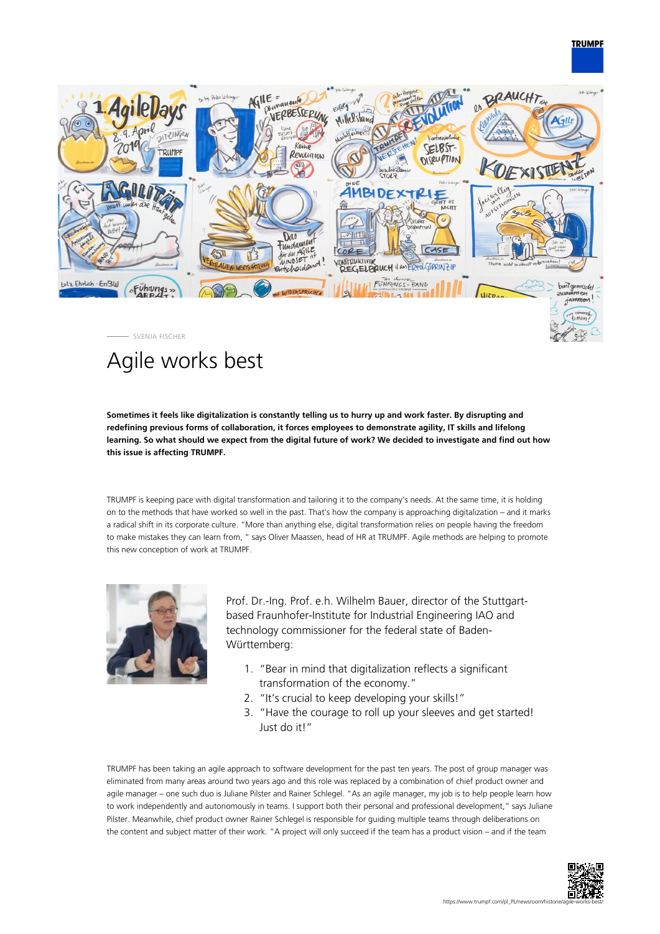## **TRUMPF**



# Agile works best

**Sometimes it feels like digitalization is constantly telling us to hurry up and work faster. By disrupting and redefining previous forms of collaboration, it forces employees to demonstrate agility, IT skills and lifelong learning. So what should we expect from the digital future of work? We decided to investigate and find out how this issue is affecting TRUMPF.**

TRUMPF is keeping pace with digital transformation and tailoring it to the company's needs. At the same time, it is holding on to the methods that have worked so well in the past. That's how the company is approaching digitalization – and it marks a radical shift in its corporate culture. "More than anything else, digital transformation relies on people having the freedom to make mistakes they can learn from, " says Oliver Maassen, head of HR at TRUMPF. Agile methods are helping to promote this new conception of work at TRUMPF.



Prof. Dr.-Ing. Prof. e.h. Wilhelm Bauer, director of the Stuttgartbased Fraunhofer-Institute for Industrial Engineering IAO and technology commissioner for the federal state of Baden-Württemberg:

- 1. "Bear in mind that digitalization reflects a significant transformation of the economy."
- 2. "It's crucial to keep developing your skills!"
- 3. "Have the courage to roll up your sleeves and get started! Just do it!"

TRUMPF has been taking an agile approach to software development for the past ten years. The post of group manager was eliminated from many areas around two years ago and this role was replaced by a combination of chief product owner and agile manager – one such duo is Juliane Pilster and Rainer Schlegel. "As an agile manager, my job is to help people learn how to work independently and autonomously in teams. I support both their personal and professional development," says Juliane Pilster. Meanwhile, chief product owner Rainer Schlegel is responsible for guiding multiple teams through deliberations on the content and subject matter of their work. "A project will only succeed if the team has a product vision – and if the team

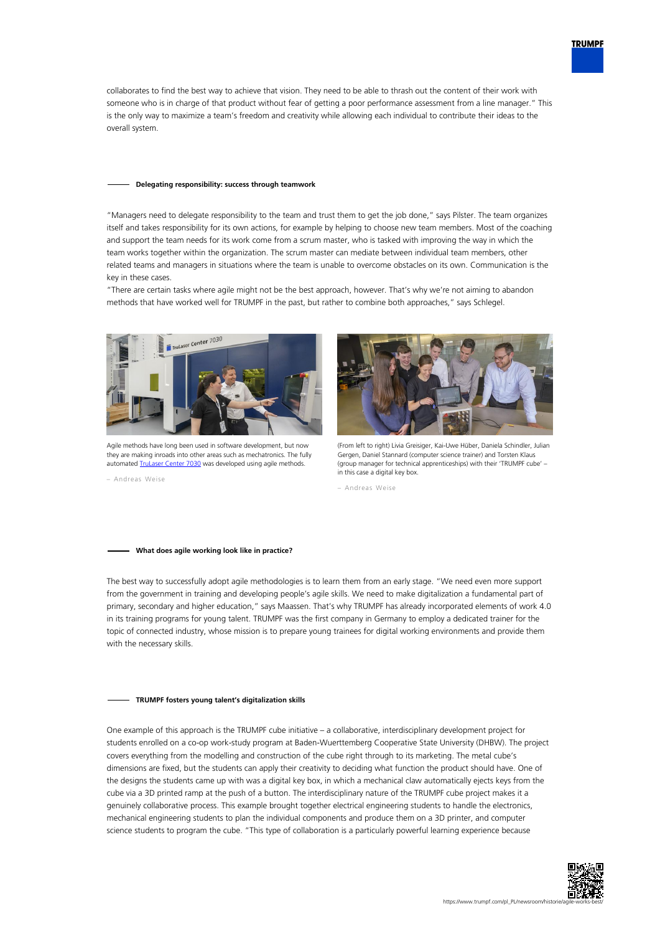collaborates to find the best way to achieve that vision. They need to be able to thrash out the content of their work with someone who is in charge of that product without fear of getting a poor performance assessment from a line manager." This is the only way to maximize a team's freedom and creativity while allowing each individual to contribute their ideas to the overall system.

#### **Delegating responsibility: success through teamwork**

"Managers need to delegate responsibility to the team and trust them to get the job done," says Pilster. The team organizes itself and takes responsibility for its own actions, for example by helping to choose new team members. Most of the coaching and support the team needs for its work come from a scrum master, who is tasked with improving the way in which the team works together within the organization. The scrum master can mediate between individual team members, other related teams and managers in situations where the team is unable to overcome obstacles on its own. Communication is the key in these cases.

"There are certain tasks where agile might not be the best approach, however. That's why we're not aiming to abandon methods that have worked well for TRUMPF in the past, but rather to combine both approaches," says Schlegel.



Agile methods have long been used in software development, but now they are making inroads into other areas such as mechatronics. The fully automated [TruLaser Center 7030](#page--1-0) was developed using agile methods.

– Andreas Weise



(From left to right) Livia Greisiger, Kai-Uwe Hüber, Daniela Schindler, Julian Gergen, Daniel Stannard (computer science trainer) and Torsten Klaus (group manager for technical apprenticeships) with their 'TRUMPF cube' – in this case a digital key box.

– Andreas Weise

### **What does agile working look like in practice?**

The best way to successfully adopt agile methodologies is to learn them from an early stage. "We need even more support from the government in training and developing people's agile skills. We need to make digitalization a fundamental part of primary, secondary and higher education," says Maassen. That's why TRUMPF has already incorporated elements of work 4.0 in its training programs for young talent. TRUMPF was the first company in Germany to employ a dedicated trainer for the topic of connected industry, whose mission is to prepare young trainees for digital working environments and provide them with the necessary skills.

#### **TRUMPF fosters young talent's digitalization skills**

One example of this approach is the TRUMPF cube initiative – a collaborative, interdisciplinary development project for students enrolled on a co-op work-study program at Baden-Wuerttemberg Cooperative State University (DHBW). The project covers everything from the modelling and construction of the cube right through to its marketing. The metal cube's dimensions are fixed, but the students can apply their creativity to deciding what function the product should have. One of the designs the students came up with was a digital key box, in which a mechanical claw automatically ejects keys from the cube via a 3D printed ramp at the push of a button. The interdisciplinary nature of the TRUMPF cube project makes it a genuinely collaborative process. This example brought together electrical engineering students to handle the electronics, mechanical engineering students to plan the individual components and produce them on a 3D printer, and computer science students to program the cube. "This type of collaboration is a particularly powerful learning experience because